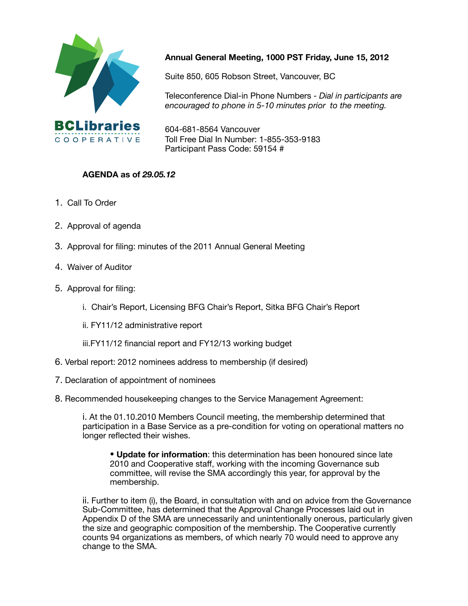

### **Annual General Meeting, 1000 PST Friday, June 15, 2012**

Suite 850, 605 Robson Street, Vancouver, BC

Teleconference Dial-in Phone Numbers - *Dial in participants are encouraged to phone in 5-10 minutes prior to the meeting.*

604-681-8564 Vancouver Toll Free Dial In Number: 1-855-353-9183 Participant Pass Code: 59154 #

### **AGENDA as of** *29.05.12*

- 1. Call To Order
- 2. Approval of agenda
- 3. Approval for filing: minutes of the 2011 Annual General Meeting
- 4. Waiver of Auditor
- 5.Approval for filing:
	- i. Chair's Report, Licensing BFG Chair's Report, Sitka BFG Chair's Report
	- ii. FY11/12 administrative report

iii.FY11/12 financial report and FY12/13 working budget

- 6. Verbal report: 2012 nominees address to membership (if desired)
- 7. Declaration of appointment of nominees
- 8. Recommended housekeeping changes to the Service Management Agreement:

i. At the 01.10.2010 Members Council meeting, the membership determined that participation in a Base Service as a pre-condition for voting on operational matters no longer reflected their wishes.

• **Update for information**: this determination has been honoured since late 2010 and Cooperative staff, working with the incoming Governance sub committee, will revise the SMA accordingly this year, for approval by the membership.

ii. Further to item (i), the Board, in consultation with and on advice from the Governance Sub-Committee, has determined that the Approval Change Processes laid out in Appendix D of the SMA are unnecessarily and unintentionally onerous, particularly given the size and geographic composition of the membership. The Cooperative currently counts 94 organizations as members, of which nearly 70 would need to approve any change to the SMA.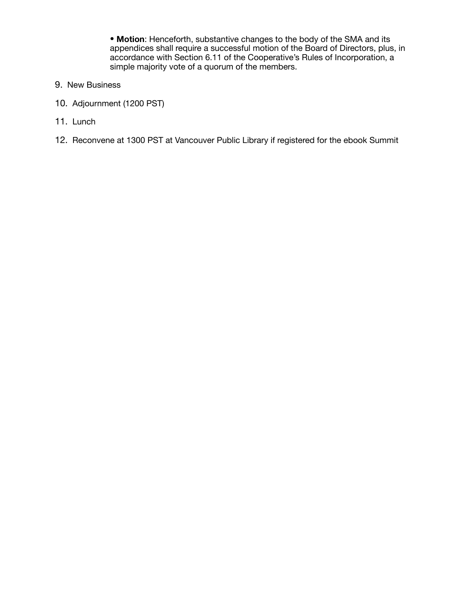• **Motion**: Henceforth, substantive changes to the body of the SMA and its appendices shall require a successful motion of the Board of Directors, plus, in accordance with Section 6.11 of the Cooperative's Rules of Incorporation, a simple majority vote of a quorum of the members.

- 9. New Business
- 10. Adjournment (1200 PST)
- 11. Lunch
- 12. Reconvene at 1300 PST at Vancouver Public Library if registered for the ebook Summit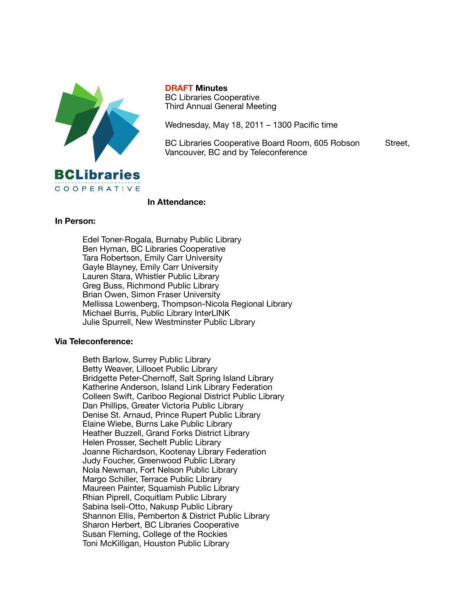

**DRAFT Minutes** BC Libraries Cooperative Third Annual General Meeting

Wednesday, May 18, 2011 – 1300 Pacific time

BC Libraries Cooperative Board Room, 605 Robson Street, Vancouver, BC and by Teleconference

#### **In Attendance:**

#### **In Person:**

Edel Toner-Rogala, Burnaby Public Library Ben Hyman, BC Libraries Cooperative Tara Robertson, Emily Carr University Gayle Blayney, Emily Carr University Lauren Stara, Whistler Public Library Greg Buss, Richmond Public Library Brian Owen, Simon Fraser University Mellissa Lowenberg, Thompson-Nicola Regional Library Michael Burris, Public Library InterLINK Julie Spurrell, New Westminster Public Library

#### **Via Teleconference:**

Beth Barlow, Surrey Public Library Betty Weaver, Lillooet Public Library Bridgette Peter-Chernoff, Salt Spring Island Library Katherine Anderson, Island Link Library Federation Colleen Swift, Cariboo Regional District Public Library Dan Phillips, Greater Victoria Public Library Denise St. Arnaud, Prince Rupert Public Library Elaine Wiebe, Burns Lake Public Library Heather Buzzell, Grand Forks District Library Helen Prosser, Sechelt Public Library Joanne Richardson, Kootenay Library Federation Judy Foucher, Greenwood Public Library Nola Newman, Fort Nelson Public Library Margo Schiller, Terrace Public Library Maureen Painter, Squamish Public Library Rhian Piprell, Coquitlam Public Library Sabina Iseli-Otto, Nakusp Public Library Shannon Ellis, Pemberton & District Public Library Sharon Herbert, BC Libraries Cooperative Susan Fleming, College of the Rockies Toni McKilligan, Houston Public Library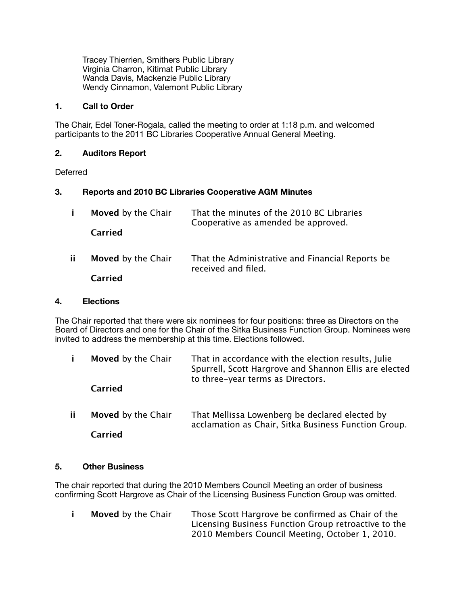Tracey Thierrien, Smithers Public Library Virginia Charron, Kitimat Public Library Wanda Davis, Mackenzie Public Library Wendy Cinnamon, Valemont Public Library

#### **1. Call to Order**

The Chair, Edel Toner-Rogala, called the meeting to order at 1:18 p.m. and welcomed participants to the 2011 BC Libraries Cooperative Annual General Meeting.

#### **2. Auditors Report**

**Deferred** 

#### **3. Reports and 2010 BC Libraries Cooperative AGM Minutes**

|     | Moved by the Chair<br>Carried | That the minutes of the 2010 BC Libraries<br>Cooperative as amended be approved. |
|-----|-------------------------------|----------------------------------------------------------------------------------|
| ii. | Moved by the Chair            | That the Administrative and Financial Reports be<br>received and filed.          |
|     | Carried                       |                                                                                  |

#### **4. Elections**

The Chair reported that there were six nominees for four positions: three as Directors on the Board of Directors and one for the Chair of the Sitka Business Function Group. Nominees were invited to address the membership at this time. Elections followed.

|     | Moved by the Chair<br>Carried | That in accordance with the election results, Julie<br>Spurrell, Scott Hargrove and Shannon Ellis are elected<br>to three-year terms as Directors. |
|-----|-------------------------------|----------------------------------------------------------------------------------------------------------------------------------------------------|
| ii. | Moved by the Chair            | That Mellissa Lowenberg be declared elected by<br>acclamation as Chair, Sitka Business Function Group.                                             |
|     | Carried                       |                                                                                                                                                    |

#### **5. Other Business**

The chair reported that during the 2010 Members Council Meeting an order of business confirming Scott Hargrove as Chair of the Licensing Business Function Group was omitted.

**i Moved** by the Chair Those Scott Hargrove be confirmed as Chair of the Licensing Business Function Group retroactive to the 2010 Members Council Meeting, October 1, 2010.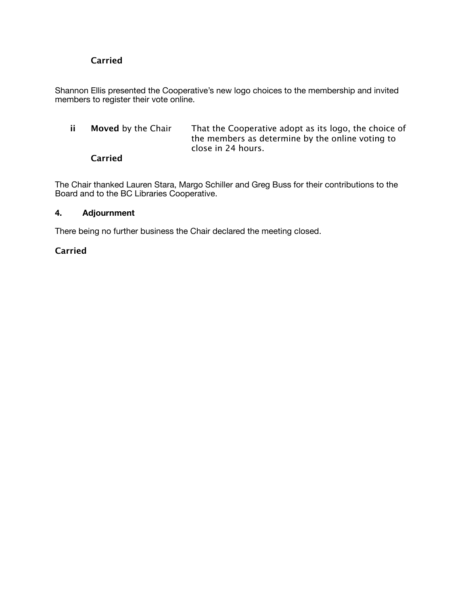### **Carried**

Shannon Ellis presented the Cooperative's new logo choices to the membership and invited members to register their vote online.

**ii Moved** by the Chair That the Cooperative adopt as its logo, the choice of the members as determine by the online voting to close in 24 hours.

#### **Carried**

The Chair thanked Lauren Stara, Margo Schiller and Greg Buss for their contributions to the Board and to the BC Libraries Cooperative.

#### **4. Adjournment**

There being no further business the Chair declared the meeting closed.

### **Carried**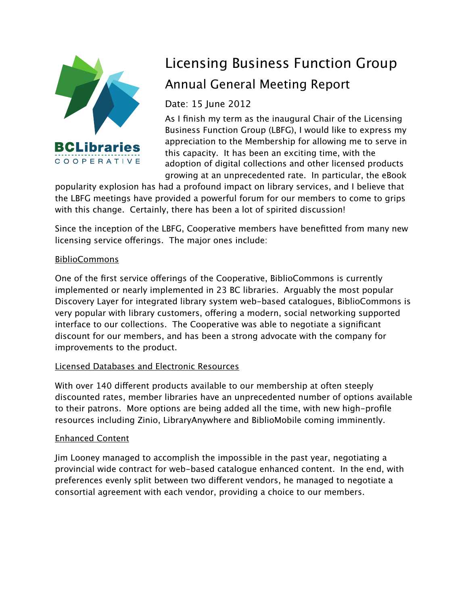

# Licensing Business Function Group Annual General Meeting Report

Date: 15 June 2012

As I finish my term as the inaugural Chair of the Licensing Business Function Group (LBFG), I would like to express my appreciation to the Membership for allowing me to serve in this capacity. It has been an exciting time, with the adoption of digital collections and other licensed products growing at an unprecedented rate. In particular, the eBook

popularity explosion has had a profound impact on library services, and I believe that the LBFG meetings have provided a powerful forum for our members to come to grips with this change. Certainly, there has been a lot of spirited discussion!

Since the inception of the LBFG, Cooperative members have benefitted from many new licensing service offerings. The major ones include:

## BiblioCommons

One of the first service offerings of the Cooperative, BiblioCommons is currently implemented or nearly implemented in 23 BC libraries. Arguably the most popular Discovery Layer for integrated library system web-based catalogues, BiblioCommons is very popular with library customers, offering a modern, social networking supported interface to our collections. The Cooperative was able to negotiate a significant discount for our members, and has been a strong advocate with the company for improvements to the product.

## Licensed Databases and Electronic Resources

With over 140 diferent products available to our membership at often steeply discounted rates, member libraries have an unprecedented number of options available to their patrons. More options are being added all the time, with new high-profile resources including Zinio, LibraryAnywhere and BiblioMobile coming imminently.

## Enhanced Content

Jim Looney managed to accomplish the impossible in the past year, negotiating a provincial wide contract for web-based catalogue enhanced content. In the end, with preferences evenly split between two diferent vendors, he managed to negotiate a consortial agreement with each vendor, providing a choice to our members.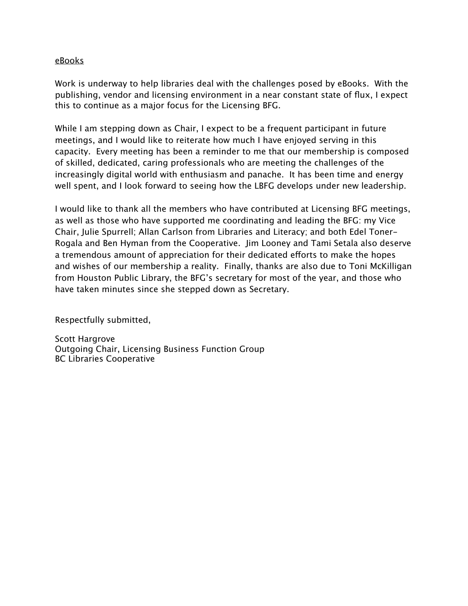#### eBooks

Work is underway to help libraries deal with the challenges posed by eBooks. With the publishing, vendor and licensing environment in a near constant state of flux, I expect this to continue as a major focus for the Licensing BFG.

While I am stepping down as Chair, I expect to be a frequent participant in future meetings, and I would like to reiterate how much I have enjoyed serving in this capacity. Every meeting has been a reminder to me that our membership is composed of skilled, dedicated, caring professionals who are meeting the challenges of the increasingly digital world with enthusiasm and panache. It has been time and energy well spent, and I look forward to seeing how the LBFG develops under new leadership.

I would like to thank all the members who have contributed at Licensing BFG meetings, as well as those who have supported me coordinating and leading the BFG: my Vice Chair, Julie Spurrell; Allan Carlson from Libraries and Literacy; and both Edel Toner-Rogala and Ben Hyman from the Cooperative. Jim Looney and Tami Setala also deserve a tremendous amount of appreciation for their dedicated eforts to make the hopes and wishes of our membership a reality. Finally, thanks are also due to Toni McKilligan from Houston Public Library, the BFG's secretary for most of the year, and those who have taken minutes since she stepped down as Secretary.

Respectfully submitted,

Scott Hargrove Outgoing Chair, Licensing Business Function Group BC Libraries Cooperative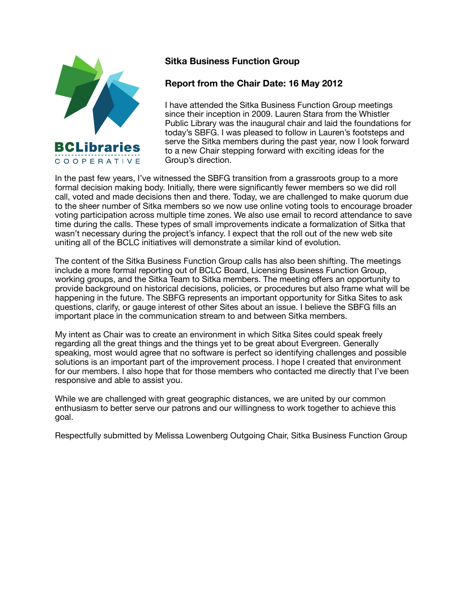

## **Sitka Business Function Group**

## **Report from the Chair Date: 16 May 2012**

I have attended the Sitka Business Function Group meetings since their inception in 2009. Lauren Stara from the Whistler Public Library was the inaugural chair and laid the foundations for today's SBFG. I was pleased to follow in Lauren's footsteps and serve the Sitka members during the past year, now I look forward to a new Chair stepping forward with exciting ideas for the Group's direction.

In the past few years, I've witnessed the SBFG transition from a grassroots group to a more formal decision making body. Initially, there were significantly fewer members so we did roll call, voted and made decisions then and there. Today, we are challenged to make quorum due to the sheer number of Sitka members so we now use online voting tools to encourage broader voting participation across multiple time zones. We also use email to record attendance to save time during the calls. These types of small improvements indicate a formalization of Sitka that wasn't necessary during the project's infancy. I expect that the roll out of the new web site uniting all of the BCLC initiatives will demonstrate a similar kind of evolution.

The content of the Sitka Business Function Group calls has also been shifting. The meetings include a more formal reporting out of BCLC Board, Licensing Business Function Group, working groups, and the Sitka Team to Sitka members. The meeting offers an opportunity to provide background on historical decisions, policies, or procedures but also frame what will be happening in the future. The SBFG represents an important opportunity for Sitka Sites to ask questions, clarify, or gauge interest of other Sites about an issue. I believe the SBFG fills an important place in the communication stream to and between Sitka members.

My intent as Chair was to create an environment in which Sitka Sites could speak freely regarding all the great things and the things yet to be great about Evergreen. Generally speaking, most would agree that no software is perfect so identifying challenges and possible solutions is an important part of the improvement process. I hope I created that environment for our members. I also hope that for those members who contacted me directly that I've been responsive and able to assist you.

While we are challenged with great geographic distances, we are united by our common enthusiasm to better serve our patrons and our willingness to work together to achieve this goal.

Respectfully submitted by Melissa Lowenberg Outgoing Chair, Sitka Business Function Group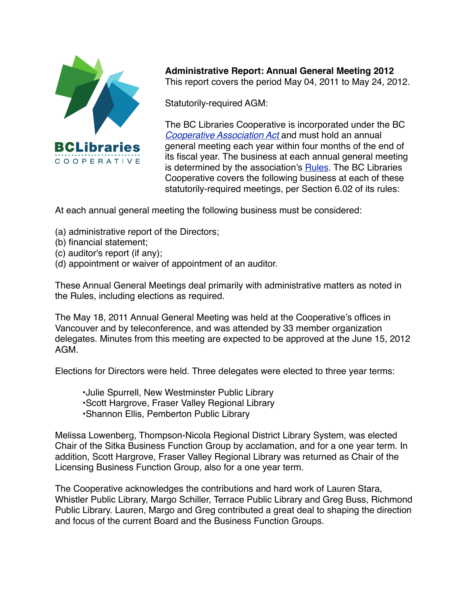

**Administrative Report: Annual General Meeting 2012** This report covers the period May 04, 2011 to May 24, 2012.

Statutorily-required AGM:

The BC Libraries Cooperative is incorporated under the BC *[Cooperative Association Act](http://www.bclaws.ca/EPLibraries/bclaws_new/document/ID/freeside/00_99028_01)* and must hold an annual general meeting each year within four months of the end of its fiscal year. The business at each annual general meeting is determined by the association's **Rules**. The BC Libraries Cooperative covers the following business at each of these statutorily-required meetings, per Section 6.02 of its rules:

At each annual general meeting the following business must be considered:

- (a) administrative report of the Directors;
- (b) financial statement;
- (c) auditor's report (if any);
- (d) appointment or waiver of appointment of an auditor.

These Annual General Meetings deal primarily with administrative matters as noted in the Rules, including elections as required.

The May 18, 2011 Annual General Meeting was held at the Cooperative's offices in Vancouver and by teleconference, and was attended by 33 member organization delegates. Minutes from this meeting are expected to be approved at the June 15, 2012 AGM.

Elections for Directors were held. Three delegates were elected to three year terms:

•Julie Spurrell, New Westminster Public Library •Scott Hargrove, Fraser Valley Regional Library •Shannon Ellis, Pemberton Public Library

Melissa Lowenberg, Thompson-Nicola Regional District Library System, was elected Chair of the Sitka Business Function Group by acclamation, and for a one year term. In addition, Scott Hargrove, Fraser Valley Regional Library was returned as Chair of the Licensing Business Function Group, also for a one year term.

The Cooperative acknowledges the contributions and hard work of Lauren Stara, Whistler Public Library, Margo Schiller, Terrace Public Library and Greg Buss, Richmond Public Library. Lauren, Margo and Greg contributed a great deal to shaping the direction and focus of the current Board and the Business Function Groups.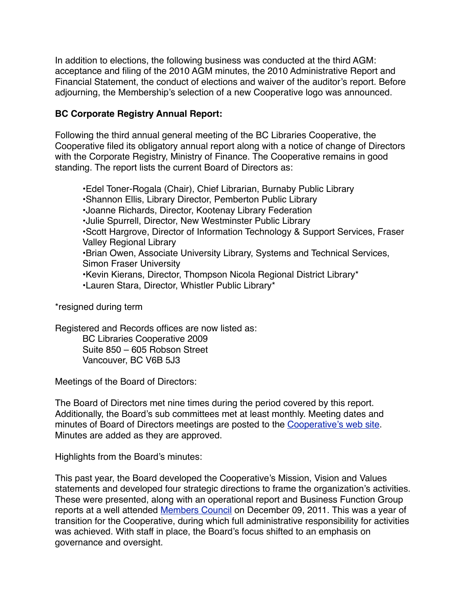In addition to elections, the following business was conducted at the third AGM: acceptance and filing of the 2010 AGM minutes, the 2010 Administrative Report and Financial Statement, the conduct of elections and waiver of the auditor's report. Before adjourning, the Membership's selection of a new Cooperative logo was announced.

## **BC Corporate Registry Annual Report:**

Following the third annual general meeting of the BC Libraries Cooperative, the Cooperative filed its obligatory annual report along with a notice of change of Directors with the Corporate Registry, Ministry of Finance. The Cooperative remains in good standing. The report lists the current Board of Directors as:

•Edel Toner-Rogala (Chair), Chief Librarian, Burnaby Public Library •Shannon Ellis, Library Director, Pemberton Public Library •Joanne Richards, Director, Kootenay Library Federation •Julie Spurrell, Director, New Westminster Public Library •Scott Hargrove, Director of Information Technology & Support Services, Fraser Valley Regional Library •Brian Owen, Associate University Library, Systems and Technical Services, Simon Fraser University •Kevin Kierans, Director, Thompson Nicola Regional District Library\* •Lauren Stara, Director, Whistler Public Library\*

\*resigned during term

Registered and Records offices are now listed as:

BC Libraries Cooperative 2009 Suite 850 – 605 Robson Street Vancouver, BC V6B 5J3

Meetings of the Board of Directors:

The Board of Directors met nine times during the period covered by this report. Additionally, the Board's sub committees met at least monthly. Meeting dates and minutes of Board of Directors meetings are posted to the [Cooperative's web site.](http://cooperative.bclibraries.ca/governance/board-minutes-and-agendas/) Minutes are added as they are approved.

Highlights from the Board's minutes:

This past year, the Board developed the Cooperative's Mission, Vision and Values statements and developed four strategic directions to frame the organization's activities. These were presented, along with an operational report and Business Function Group reports at a well attended [Members Council](http://cooperative.bclibraries.ca/governance/members-council/copy_of_2010-members-council/) on December 09, 2011. This was a year of transition for the Cooperative, during which full administrative responsibility for activities was achieved. With staff in place, the Board's focus shifted to an emphasis on governance and oversight.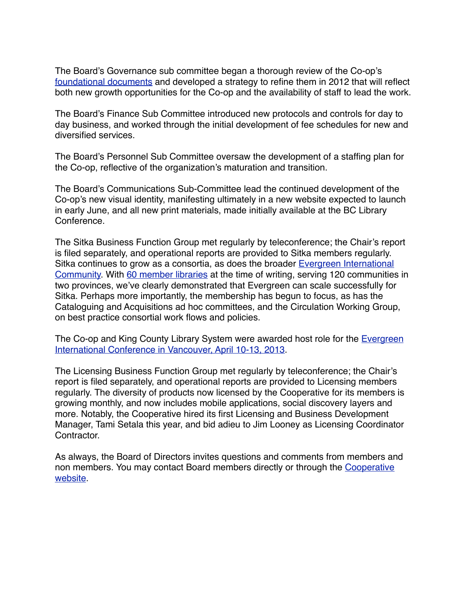The Board's Governance sub committee began a thorough review of the Co-op's [foundational documents](http://livepage.apple.com/) and developed a strategy to refine them in 2012 that will reflect both new growth opportunities for the Co-op and the availability of staff to lead the work.

The Board's Finance Sub Committee introduced new protocols and controls for day to day business, and worked through the initial development of fee schedules for new and diversified services.

The Board's Personnel Sub Committee oversaw the development of a staffing plan for the Co-op, reflective of the organization's maturation and transition.

The Board's Communications Sub-Committee lead the continued development of the Co-op's new visual identity, manifesting ultimately in a new website expected to launch in early June, and all new print materials, made initially available at the BC Library Conference.

The Sitka Business Function Group met regularly by teleconference; the Chair's report is filed separately, and operational reports are provided to Sitka members regularly. Sitka continues to grow as a consortia, as does the broader [Evergreen International](http://evergreen-ils.org/)  [Community.](http://evergreen-ils.org/) With [60 member libraries](http://sitka.bclibraries.ca/implementations/current-sitka-libraries/) at the time of writing, serving 120 communities in two provinces, we've clearly demonstrated that Evergreen can scale successfully for Sitka. Perhaps more importantly, the membership has begun to focus, as has the Cataloguing and Acquisitions ad hoc committees, and the Circulation Working Group, on best practice consortial work flows and policies.

The Co-op and King County Library System were awarded host role for the [Evergreen](http://eg2013.evergreen-ils.org/)  [International Conference in Vancouver, April 10-13, 2013.](http://eg2013.evergreen-ils.org/)

The Licensing Business Function Group met regularly by teleconference; the Chair's report is filed separately, and operational reports are provided to Licensing members regularly. The diversity of products now licensed by the Cooperative for its members is growing monthly, and now includes mobile applications, social discovery layers and more. Notably, the Cooperative hired its first Licensing and Business Development Manager, Tami Setala this year, and bid adieu to Jim Looney as Licensing Coordinator Contractor.

As always, the Board of Directors invites questions and comments from members and non members. You may contact Board members directly or through the [Cooperative](http://bc.libraries.coop)  [website.](http://bc.libraries.coop)